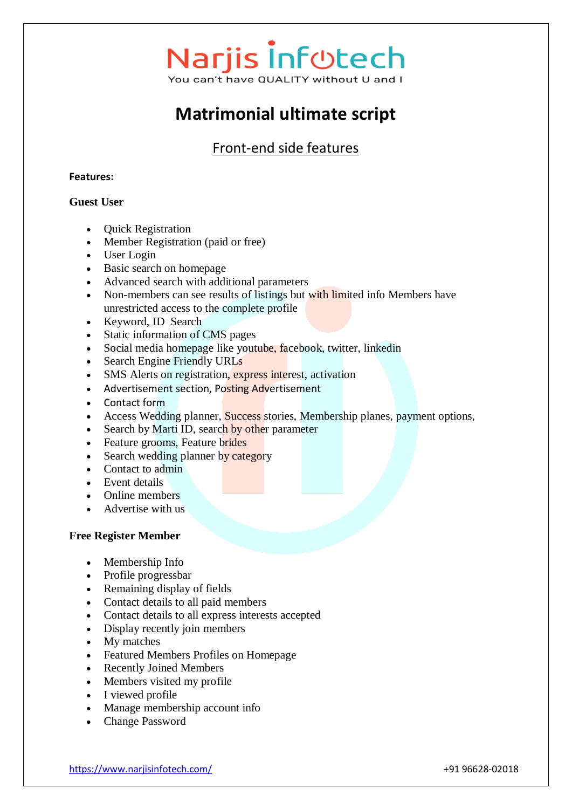# **Matrimonial ultimate script**

# Front-end side features

## **Features:**

## **Guest User**

- Ouick Registration
- Member Registration (paid or free)
- User Login
- Basic search on homepage
- Advanced search with additional parameters
- Non-members can see results of listings but with limited info Members have unrestricted access to the complete profile
- Keyword, ID Search
- Static information of CMS pages
- Social media homepage like youtube, facebook, twitter, linkedin
- Search Engine Friendly URLs
- SMS Alerts on registration, express interest, activation
- Advertisement section, Posting Advertisement
- Contact form
- Access Wedding planner, Success stories, Membership planes, payment options,
- Search by Marti ID, search by other parameter
- Feature grooms, Feature brides
- Search wedding planner by category
- Contact to admin
- Event details
- Online members
- Advertise with us

### **Free Register Member**

- Membership Info
- Profile progressbar
- Remaining display of fields
- Contact details to all paid members
- Contact details to all express interests accepted
- Display recently join members
- My matches
- Featured Members Profiles on Homepage
- Recently Joined Members
- Members visited my profile
- I viewed profile
- Manage membership account info
- Change Password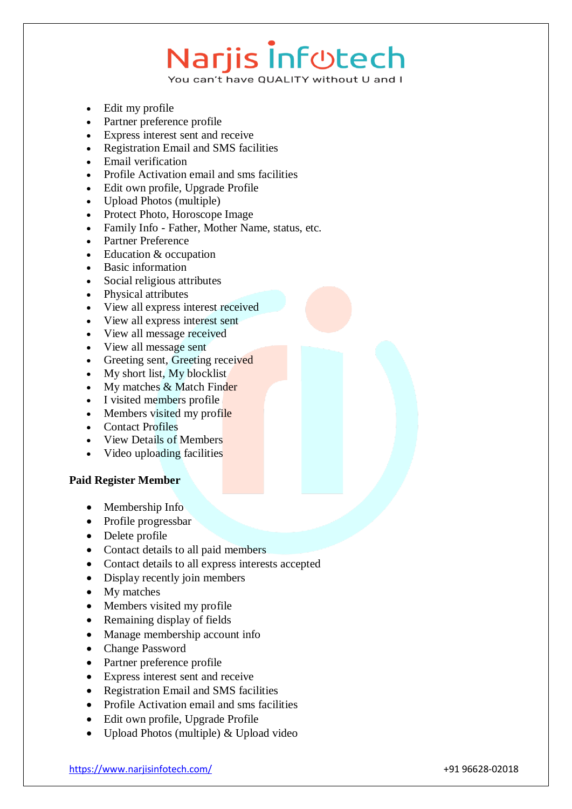# **Narjis Infotech**

You can't have QUALITY without U and I

- Edit my profile
- Partner preference profile
- Express interest sent and receive
- Registration Email and SMS facilities
- Email verification
- Profile Activation email and sms facilities
- Edit own profile, Upgrade Profile
- Upload Photos (multiple)
- Protect Photo, Horoscope Image
- Family Info Father, Mother Name, status, etc.
- Partner Preference
- Education & occupation
- Basic information
- Social religious attributes
- Physical attributes
- View all express interest received
- View all express interest sent
- View all message received
- View all message sent
- Greeting sent, Greeting received
- My short list, My blocklist
- $\bullet$  My matches & Match Finder
- I visited members profile
- Members visited my profile
- Contact Profiles
- View Details of Members
- Video uploading facilities

# **Paid Register Member**

- Membership Info
- Profile progressbar
- Delete profile
- Contact details to all paid members
- Contact details to all express interests accepted
- Display recently join members
- My matches
- Members visited my profile
- Remaining display of fields
- Manage membership account info
- Change Password
- Partner preference profile
- Express interest sent and receive
- Registration Email and SMS facilities
- Profile Activation email and sms facilities
- Edit own profile, Upgrade Profile
- Upload Photos (multiple) & Upload video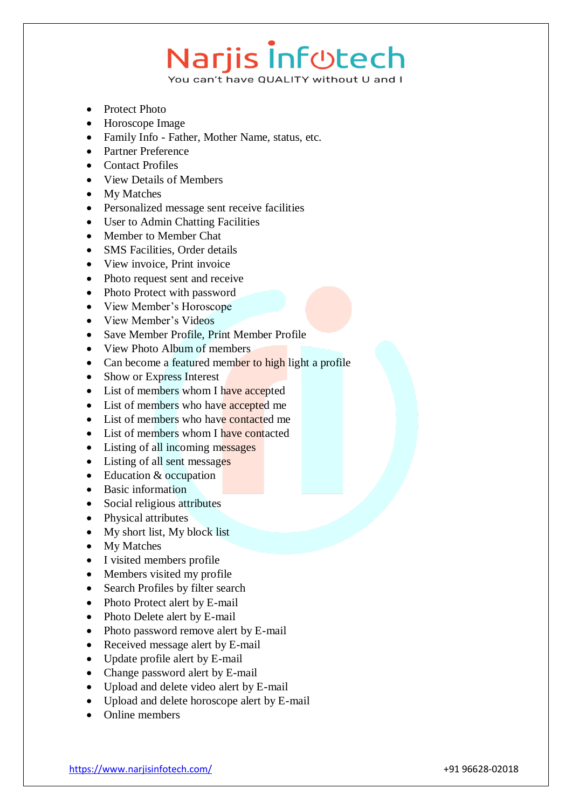# **Narjis Infotech**

You can't have QUALITY without U and I

- Protect Photo
- Horoscope Image
- Family Info Father, Mother Name, status, etc.
- Partner Preference
- Contact Profiles
- View Details of Members
- My Matches
- Personalized message sent receive facilities
- User to Admin Chatting Facilities
- Member to Member Chat
- SMS Facilities, Order details
- View invoice, Print invoice
- Photo request sent and receive
- Photo Protect with password
- View Member's Horoscope
- View Member's Videos
- Save Member Profile, Print Member Profile
- View Photo Album of members
- Can become a featured member to high light a profile
- Show or Express Interest
- List of members whom I have accepted
- List of members who have accepted me
- List of members who have contacted me
- List of members whom I have contacted
- Listing of all incoming messages
- Listing of all sent messages
- Education & occupation
- Basic information
- Social religious attributes
- Physical attributes
- My short list, My block list
- My Matches
- I visited members profile
- Members visited my profile
- Search Profiles by filter search
- Photo Protect alert by E-mail
- Photo Delete alert by E-mail
- Photo password remove alert by E-mail
- Received message alert by E-mail
- Update profile alert by E-mail
- Change password alert by E-mail
- Upload and delete video alert by E-mail
- Upload and delete horoscope alert by E-mail
- Online members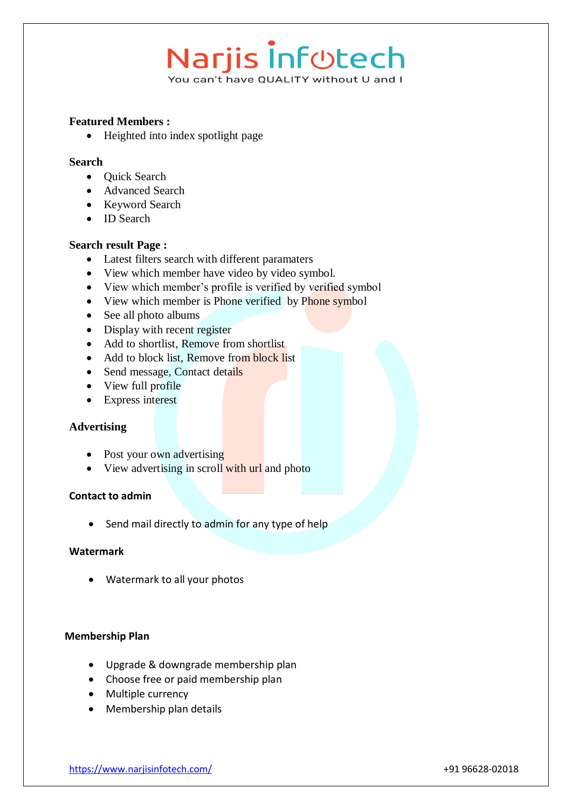# Narjis Infotech

You can't have QUALITY without U and I

## **Featured Members :**

• Heighted into index spotlight page

## **Search**

- Ouick Search
- Advanced Search
- Keyword Search
- ID Search

## **Search result Page :**

- Latest filters search with different paramaters
- View which member have video by video symbol.
- View which member's profile is verified by verified symbol
- View which member is Phone verified by Phone symbol
- See all photo albums
- Display with recent register
- Add to shortlist, Remove from shortlist
- Add to block list, Remove from block list
- Send message, Contact details
- View full profile
- Express interest

### **Advertising**

- Post your own advertising
- View advertising in scroll with url and photo

### **Contact to admin**

Send mail directly to admin for any type of help

### **Watermark**

Watermark to all your photos

### **Membership Plan**

- Upgrade & downgrade membership plan
- Choose free or paid membership plan
- Multiple currency
- Membership plan details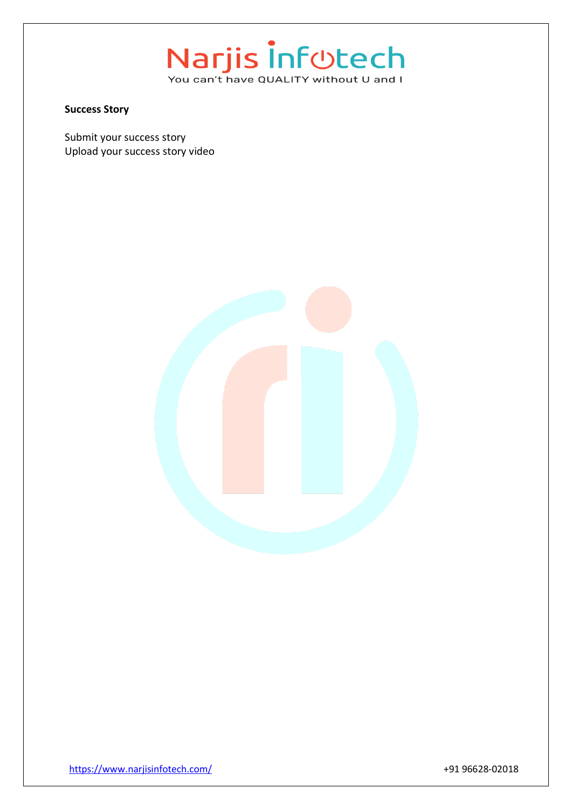#### **Success Story**

Submit your success story Upload your success story video

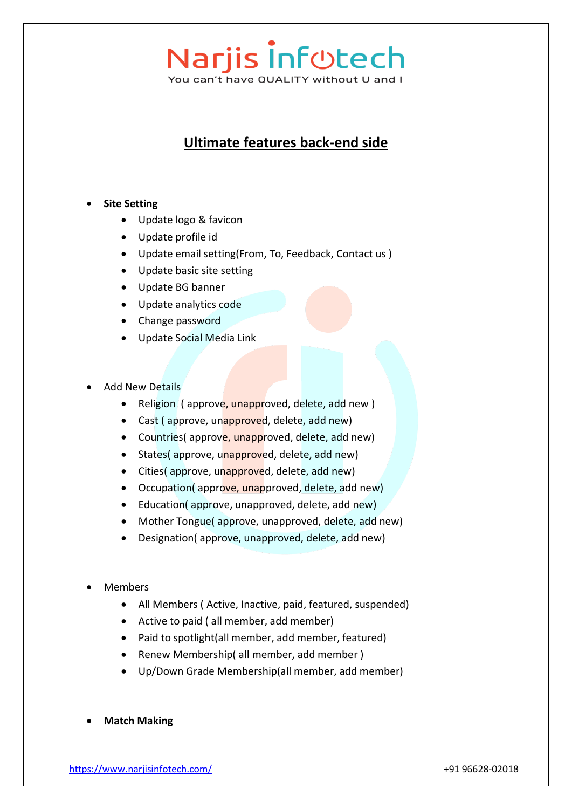**Ultimate features back-end side**

# **•** Site Setting

- Update logo & favicon
- Update profile id
- Update email setting(From, To, Feedback, Contact us )
- Update basic site setting
- Update BG banner
- Update analytics code
- Change password
- Update Social Media Link
- Add New Details
	- Religion (approve, unapproved, delete, add new)
	- Cast (approve, unapproved, delete, add new)
	- Countries( approve, unapproved, delete, add new)
	- States( approve, unapproved, delete, add new)
	- Cities( approve, unapproved, delete, add new)
	- Occupation(approve, unapproved, delete, add new)
	- Education( approve, unapproved, delete, add new)
	- Mother Tongue( approve, unapproved, delete, add new)
	- Designation( approve, unapproved, delete, add new)
- Members
	- All Members ( Active, Inactive, paid, featured, suspended)
	- Active to paid ( all member, add member)
	- Paid to spotlight(all member, add member, featured)
	- Renew Membership( all member, add member )
	- Up/Down Grade Membership(all member, add member)
- **Match Making**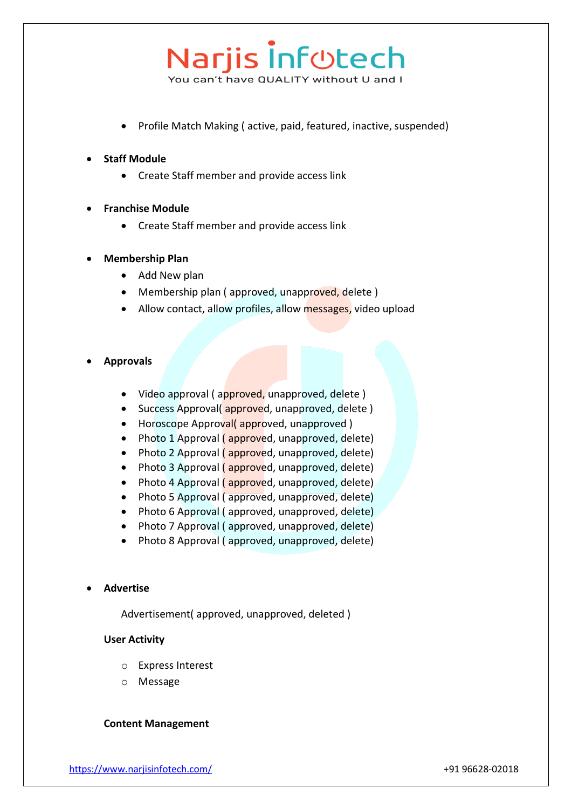• Profile Match Making (active, paid, featured, inactive, suspended)

## **Staff Module**

Create Staff member and provide access link

### **Franchise Module**

Create Staff member and provide access link

## **Membership Plan**

- Add New plan
- Membership plan (approved, unapproved, delete)
- Allow contact, allow profiles, allow messages, video upload

### **Approvals**

- Video approval (approved, unapproved, delete)
- Success Approval(approved, unapproved, delete)
- Horoscope Approval(approved, unapproved)
- Photo 1 Approval (approved, unapproved, delete)
- Photo 2 Approval ( approved, unapproved, delete)
- Photo 3 Approval ( approved, unapproved, delete)
- Photo 4 Approval ( approved, unapproved, delete)
- Photo 5 Approval (approved, unapproved, delete)
- Photo 6 Approval (approved, unapproved, delete)
- Photo 7 Approval (approved, unapproved, delete)
- Photo 8 Approval ( approved, unapproved, delete)

#### **Advertise**

Advertisement( approved, unapproved, deleted )

#### **User Activity**

- o Express Interest
- o Message

### **Content Management**